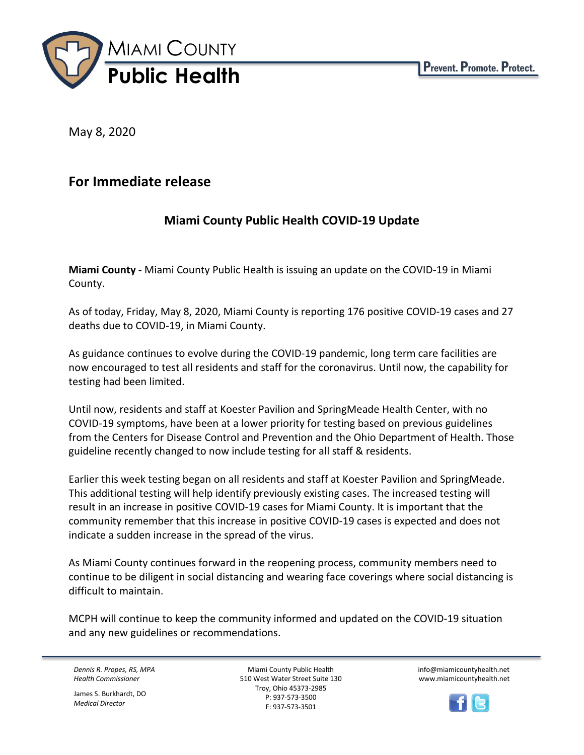

May 8, 2020

## **For Immediate release**

## **Miami County Public Health COVID-19 Update**

**Miami County -** Miami County Public Health is issuing an update on the COVID-19 in Miami County.

As of today, Friday, May 8, 2020, Miami County is reporting 176 positive COVID-19 cases and 27 deaths due to COVID-19, in Miami County.

As guidance continues to evolve during the COVID-19 pandemic, long term care facilities are now encouraged to test all residents and staff for the coronavirus. Until now, the capability for testing had been limited.

Until now, residents and staff at Koester Pavilion and SpringMeade Health Center, with no COVID-19 symptoms, have been at a lower priority for testing based on previous guidelines from the Centers for Disease Control and Prevention and the Ohio Department of Health. Those guideline recently changed to now include testing for all staff & residents.

Earlier this week testing began on all residents and staff at Koester Pavilion and SpringMeade. This additional testing will help identify previously existing cases. The increased testing will result in an increase in positive COVID-19 cases for Miami County. It is important that the community remember that this increase in positive COVID-19 cases is expected and does not indicate a sudden increase in the spread of the virus.

As Miami County continues forward in the reopening process, community members need to continue to be diligent in social distancing and wearing face coverings where social distancing is difficult to maintain.

MCPH will continue to keep the community informed and updated on the COVID-19 situation and any new guidelines or recommendations.

*Dennis R. Propes, RS, MPA Health Commissioner*

James S. Burkhardt, DO *Medical Director*

Miami County Public Health 510 West Water Street Suite 130 Troy, Ohio 45373-2985 P: 937-573-3500 F: 937-573-3501

info@miamicountyhealth.net www.miamicountyhealth.net